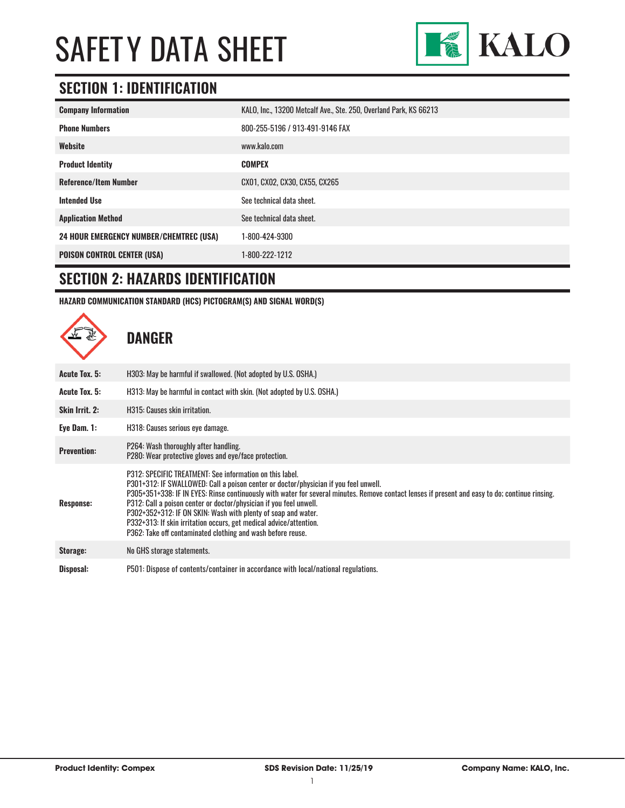

## **SECTION 1: IDENTIFICATION**

| <b>Company Information</b>                     | KALO, Inc., 13200 Metcalf Ave., Ste. 250, Overland Park, KS 66213 |
|------------------------------------------------|-------------------------------------------------------------------|
| <b>Phone Numbers</b>                           | 800-255-5196 / 913-491-9146 FAX                                   |
| Website                                        | www.kalo.com                                                      |
| <b>Product Identity</b>                        | <b>COMPEX</b>                                                     |
| <b>Reference/Item Number</b>                   | CX01, CX02, CX30, CX55, CX265                                     |
| <b>Intended Use</b>                            | See technical data sheet.                                         |
| <b>Application Method</b>                      | See technical data sheet.                                         |
| <b>24 HOUR EMERGENCY NUMBER/CHEMTREC (USA)</b> | 1-800-424-9300                                                    |
| <b>POISON CONTROL CENTER (USA)</b>             | 1-800-222-1212                                                    |

### **SECTION 2: HAZARDS IDENTIFICATION**

**HAZARD COMMUNICATION STANDARD (HCS) PICTOGRAM(S) AND SIGNAL WORD(S)**

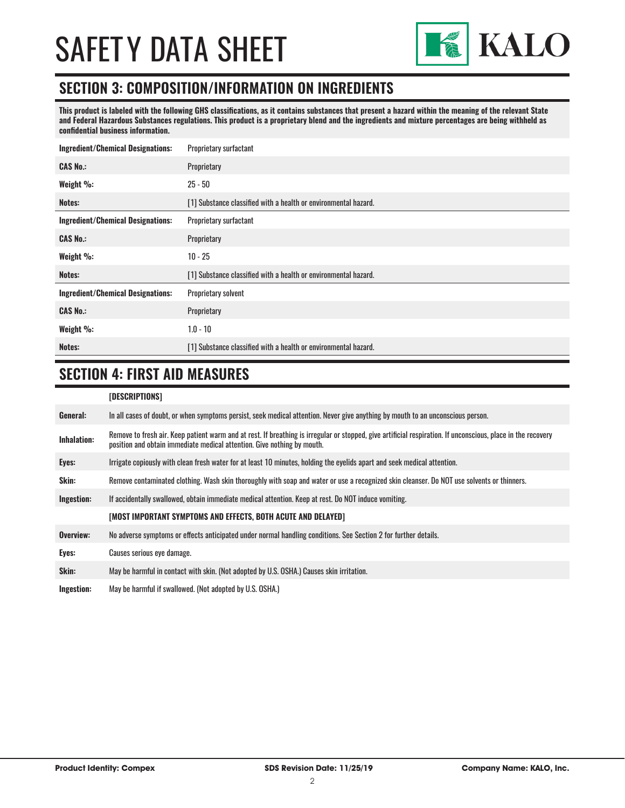

### **SECTION 3: COMPOSITION/INFORMATION ON INGREDIENTS**

**This product is labeled with the following GHS classifications, as it contains substances that present a hazard within the meaning of the relevant State and Federal Hazardous Substances regulations. This product is a proprietary blend and the ingredients and mixture percentages are being withheld as confidential business information.**

| <b>Ingredient/Chemical Designations:</b> | Proprietary surfactant                                          |  |
|------------------------------------------|-----------------------------------------------------------------|--|
| <b>CAS No.:</b>                          | Proprietary                                                     |  |
| Weight %:                                | $25 - 50$                                                       |  |
| Notes:                                   | [1] Substance classified with a health or environmental hazard. |  |
| <b>Ingredient/Chemical Designations:</b> | Proprietary surfactant                                          |  |
| <b>CAS No.:</b>                          | Proprietary                                                     |  |
| Weight %:                                | $10 - 25$                                                       |  |
| Notes:                                   | [1] Substance classified with a health or environmental hazard. |  |
| <b>Ingredient/Chemical Designations:</b> | Proprietary solvent                                             |  |
| <b>CAS No.:</b>                          | Proprietary                                                     |  |
| Weight %:                                | $1.0 - 10$                                                      |  |
| Notes:                                   | [1] Substance classified with a health or environmental hazard. |  |

## **SECTION 4: FIRST AID MEASURES**

#### **[DESCRIPTIONS]**

| General:           | In all cases of doubt, or when symptoms persist, seek medical attention. Never give anything by mouth to an unconscious person.                                                                                                         |
|--------------------|-----------------------------------------------------------------------------------------------------------------------------------------------------------------------------------------------------------------------------------------|
| <b>Inhalation:</b> | Remove to fresh air. Keep patient warm and at rest. If breathing is irregular or stopped, give artificial respiration. If unconscious, place in the recovery<br>position and obtain immediate medical attention. Give nothing by mouth. |
| Eyes:              | Irrigate copiously with clean fresh water for at least 10 minutes, holding the eyelids apart and seek medical attention.                                                                                                                |
| Skin:              | Remove contaminated clothing. Wash skin thoroughly with soap and water or use a recognized skin cleanser. Do NOT use solvents or thinners.                                                                                              |
| Ingestion:         | If accidentally swallowed, obtain immediate medical attention. Keep at rest, Do NOT induce vomiting.                                                                                                                                    |
|                    | [MOST IMPORTANT SYMPTOMS AND EFFECTS, BOTH ACUTE AND DELAYED]                                                                                                                                                                           |
| Overview:          | No adverse symptoms or effects anticipated under normal handling conditions. See Section 2 for further details.                                                                                                                         |
| Eyes:              | Causes serious eye damage.                                                                                                                                                                                                              |
| Skin:              | May be harmful in contact with skin. (Not adopted by U.S. OSHA.) Causes skin irritation.                                                                                                                                                |
| Ingestion:         | May be harmful if swallowed. (Not adopted by U.S. OSHA.)                                                                                                                                                                                |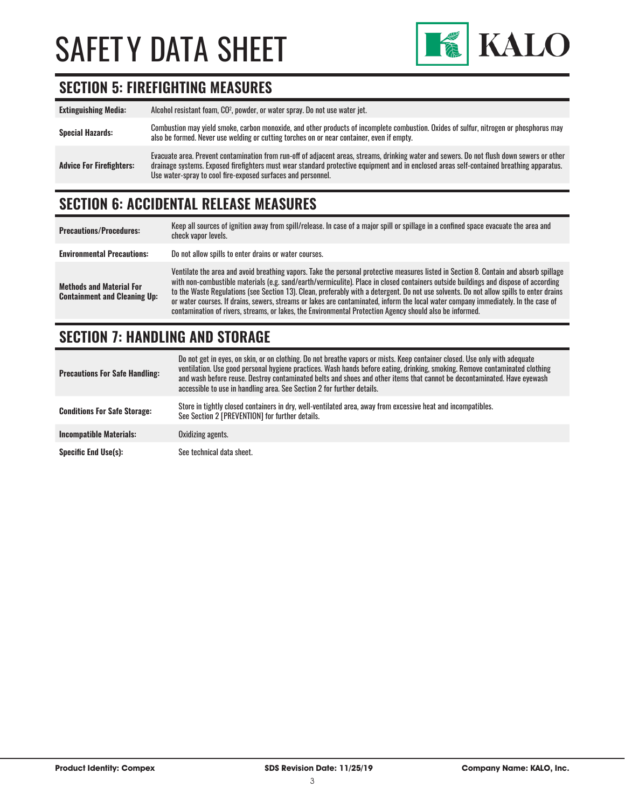

## **SECTION 5: FIREFIGHTING MEASURES**

| <b>Extinguishing Media:</b>     | Alcohol resistant foam, CO <sup>2</sup> , powder, or water spray. Do not use water jet.                                                                                                                                                                                                                                                                |
|---------------------------------|--------------------------------------------------------------------------------------------------------------------------------------------------------------------------------------------------------------------------------------------------------------------------------------------------------------------------------------------------------|
| <b>Special Hazards:</b>         | Combustion may yield smoke, carbon monoxide, and other products of incomplete combustion. Oxides of sulfur, nitrogen or phosphorus may<br>also be formed. Never use welding or cutting torches on or near container, even if empty.                                                                                                                    |
| <b>Advice For Firefighters:</b> | Evacuate area. Prevent contamination from run-off of adjacent areas, streams, drinking water and sewers. Do not flush down sewers or other<br>drainage systems. Exposed firefighters must wear standard protective equipment and in enclosed areas self-contained breathing apparatus.<br>Use water-spray to cool fire-exposed surfaces and personnel. |

## **SECTION 6: ACCIDENTAL RELEASE MEASURES**

| <b>Precautions/Procedures:</b>                                         | Keep all sources of ignition away from spill/release. In case of a major spill or spillage in a confined space evacuate the area and<br>check vapor levels.                                                                                                                                                                                                                                                                                                                                                                                                                                                                                                               |
|------------------------------------------------------------------------|---------------------------------------------------------------------------------------------------------------------------------------------------------------------------------------------------------------------------------------------------------------------------------------------------------------------------------------------------------------------------------------------------------------------------------------------------------------------------------------------------------------------------------------------------------------------------------------------------------------------------------------------------------------------------|
| <b>Environmental Precautions:</b>                                      | Do not allow spills to enter drains or water courses.                                                                                                                                                                                                                                                                                                                                                                                                                                                                                                                                                                                                                     |
| <b>Methods and Material For</b><br><b>Containment and Cleaning Up:</b> | Ventilate the area and avoid breathing vapors. Take the personal protective measures listed in Section 8. Contain and absorb spillage<br>with non-combustible materials (e.g. sand/earth/vermiculite). Place in closed containers outside buildings and dispose of according<br>to the Waste Regulations (see Section 13). Clean, preferably with a detergent. Do not use solvents. Do not allow spills to enter drains<br>or water courses. If drains, sewers, streams or lakes are contaminated, inform the local water company immediately. In the case of<br>contamination of rivers, streams, or lakes, the Environmental Protection Agency should also be informed. |

## **SECTION 7: HANDLING AND STORAGE**

| <b>Precautions For Safe Handling:</b> | Do not get in eyes, on skin, or on clothing. Do not breathe vapors or mists. Keep container closed. Use only with adequate<br>ventilation. Use good personal hygiene practices. Wash hands before eating, drinking, smoking. Remove contaminated clothing<br>and wash before reuse. Destroy contaminated belts and shoes and other items that cannot be decontaminated. Have eyewash<br>accessible to use in handling area. See Section 2 for further details. |
|---------------------------------------|----------------------------------------------------------------------------------------------------------------------------------------------------------------------------------------------------------------------------------------------------------------------------------------------------------------------------------------------------------------------------------------------------------------------------------------------------------------|
| <b>Conditions For Safe Storage:</b>   | Store in tightly closed containers in dry, well-ventilated area, away from excessive heat and incompatibles.<br>See Section 2 [PREVENTION] for further details.                                                                                                                                                                                                                                                                                                |
| <b>Incompatible Materials:</b>        | Oxidizing agents.                                                                                                                                                                                                                                                                                                                                                                                                                                              |
| <b>Specific End Use(s):</b>           | See technical data sheet.                                                                                                                                                                                                                                                                                                                                                                                                                                      |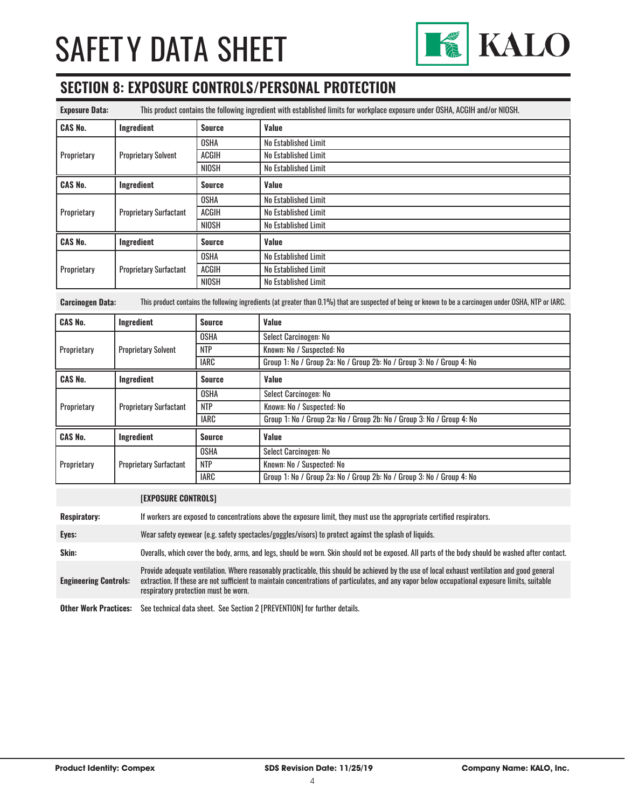

## **SECTION 8: EXPOSURE CONTROLS/PERSONAL PROTECTION**

| <b>Exposure Data:</b> | This product contains the following ingredient with established limits for workplace exposure under OSHA, ACGIH and/or NIOSH. |               |                      |
|-----------------------|-------------------------------------------------------------------------------------------------------------------------------|---------------|----------------------|
| <b>CAS No.</b>        | Ingredient                                                                                                                    | <b>Source</b> | Value                |
| Proprietary           | <b>Proprietary Solvent</b>                                                                                                    | <b>OSHA</b>   | No Established Limit |
|                       |                                                                                                                               | <b>ACGIH</b>  | No Established Limit |
|                       |                                                                                                                               | NIOSH         | No Established Limit |
| <b>CAS No.</b>        | Ingredient                                                                                                                    | <b>Source</b> | Value                |
| Proprietary           | <b>Proprietary Surfactant</b>                                                                                                 | <b>OSHA</b>   | No Established Limit |
|                       |                                                                                                                               | <b>ACGIH</b>  | No Established Limit |
|                       |                                                                                                                               | <b>NIOSH</b>  | No Established Limit |
| <b>CAS No.</b>        | Ingredient                                                                                                                    | <b>Source</b> | Value                |
| Proprietary           | <b>Proprietary Surfactant</b>                                                                                                 | <b>OSHA</b>   | No Established Limit |
|                       |                                                                                                                               | <b>ACGIH</b>  | No Established Limit |
|                       |                                                                                                                               | <b>NIOSH</b>  | No Established Limit |

**Carcinogen Data:** This product contains the following ingredients (at greater than 0.1%) that are suspected of being or known to be a carcinogen under OSHA, NTP or IARC.

| <b>CAS No.</b> | Ingredient                    | <b>Source</b> | Value                                                                 |
|----------------|-------------------------------|---------------|-----------------------------------------------------------------------|
| Proprietary    | <b>Proprietary Solvent</b>    | <b>OSHA</b>   | Select Carcinogen: No                                                 |
|                |                               | <b>NTP</b>    | Known: No / Suspected: No                                             |
|                |                               | <b>IARC</b>   | Group 1: No / Group 2a: No / Group 2b: No / Group 3: No / Group 4: No |
| <b>CAS No.</b> | Ingredient                    | <b>Source</b> | Value                                                                 |
|                | <b>Proprietary Surfactant</b> | <b>OSHA</b>   | Select Carcinogen: No                                                 |
| Proprietary    |                               | <b>NTP</b>    | Known: No / Suspected: No                                             |
|                |                               | <b>IARC</b>   | Group 1: No / Group 2a: No / Group 2b: No / Group 3: No / Group 4: No |
| <b>CAS No.</b> | Ingredient                    | <b>Source</b> | Value                                                                 |
| Proprietary    | <b>Proprietary Surfactant</b> | <b>OSHA</b>   | Select Carcinogen: No                                                 |
|                |                               | <b>NTP</b>    | Known: No / Suspected: No                                             |
|                |                               | <b>IARC</b>   | Group 1: No / Group 2a: No / Group 2b: No / Group 3: No / Group 4: No |

#### **[EXPOSURE CONTROLS]**

| <b>Respiratory:</b>          | If workers are exposed to concentrations above the exposure limit, they must use the appropriate certified respirators.                                                                                                                                                                                                                |
|------------------------------|----------------------------------------------------------------------------------------------------------------------------------------------------------------------------------------------------------------------------------------------------------------------------------------------------------------------------------------|
| Eyes:                        | Wear safety eyewear (e.g. safety spectacles/goggles/visors) to protect against the splash of liquids.                                                                                                                                                                                                                                  |
| Skin:                        | Overalls, which cover the body, arms, and legs, should be worn. Skin should not be exposed. All parts of the body should be washed after contact.                                                                                                                                                                                      |
| <b>Engineering Controls:</b> | Provide adequate ventilation. Where reasonably practicable, this should be achieved by the use of local exhaust ventilation and good general<br>extraction. If these are not sufficient to maintain concentrations of particulates, and any vapor below occupational exposure limits, suitable<br>respiratory protection must be worn. |
| <b>Ather Work Practices:</b> | See technical data sheet. See Section 2 [PREVENTION] for further details                                                                                                                                                                                                                                                               |

**Other Work Practices:** See technical data sheet. See Section 2 [PREVENTION] for further details.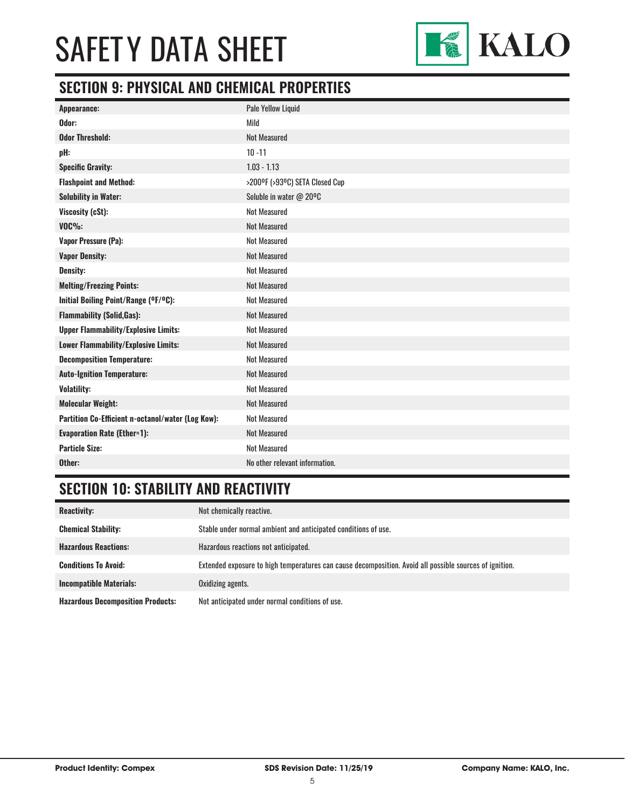

## **SECTION 9: PHYSICAL AND CHEMICAL PROPERTIES**

| Appearance:                                       | Pale Yellow Liquid             |
|---------------------------------------------------|--------------------------------|
| Odor:                                             | Mild                           |
| <b>Odor Threshold:</b>                            | <b>Not Measured</b>            |
| pH:                                               | $10 - 11$                      |
| <b>Specific Gravity:</b>                          | $1.03 - 1.13$                  |
| <b>Flashpoint and Method:</b>                     | >200°F (>93°C) SETA Closed Cup |
| <b>Solubility in Water:</b>                       | Soluble in water @ 20°C        |
| Viscosity (cSt):                                  | <b>Not Measured</b>            |
| <b>VOC%:</b>                                      | <b>Not Measured</b>            |
| Vapor Pressure (Pa):                              | <b>Not Measured</b>            |
| <b>Vapor Density:</b>                             | <b>Not Measured</b>            |
| <b>Density:</b>                                   | <b>Not Measured</b>            |
| <b>Melting/Freezing Points:</b>                   | <b>Not Measured</b>            |
| Initial Boiling Point/Range (°F/°C):              | <b>Not Measured</b>            |
| <b>Flammability (Solid, Gas):</b>                 | <b>Not Measured</b>            |
| <b>Upper Flammability/Explosive Limits:</b>       | <b>Not Measured</b>            |
| Lower Flammability/Explosive Limits:              | <b>Not Measured</b>            |
| <b>Decomposition Temperature:</b>                 | <b>Not Measured</b>            |
| <b>Auto-Ignition Temperature:</b>                 | <b>Not Measured</b>            |
| <b>Volatility:</b>                                | <b>Not Measured</b>            |
| <b>Molecular Weight:</b>                          | <b>Not Measured</b>            |
| Partition Co-Efficient n-octanol/water (Log Kow): | <b>Not Measured</b>            |
| <b>Evaporation Rate (Ether=1):</b>                | <b>Not Measured</b>            |
| <b>Particle Size:</b>                             | <b>Not Measured</b>            |
| Other:                                            | No other relevant information. |

## **SECTION 10: STABILITY AND REACTIVITY**

| <b>Reactivity:</b>                       | Not chemically reactive.                                                                                |
|------------------------------------------|---------------------------------------------------------------------------------------------------------|
| <b>Chemical Stability:</b>               | Stable under normal ambient and anticipated conditions of use.                                          |
| <b>Hazardous Reactions:</b>              | Hazardous reactions not anticipated.                                                                    |
| <b>Conditions To Avoid:</b>              | Extended exposure to high temperatures can cause decomposition. Avoid all possible sources of ignition. |
| <b>Incompatible Materials:</b>           | Oxidizing agents.                                                                                       |
| <b>Hazardous Decomposition Products:</b> | Not anticipated under normal conditions of use.                                                         |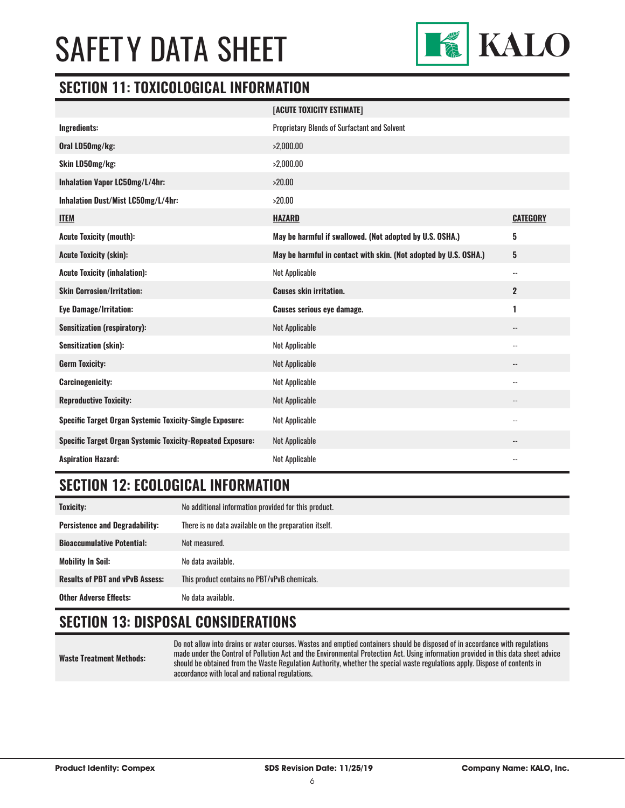

### **SECTION 11: TOXICOLOGICAL INFORMATION**

|                                                                   | [ACUTE TOXICITY ESTIMATE]                                        |                          |
|-------------------------------------------------------------------|------------------------------------------------------------------|--------------------------|
| Ingredients:                                                      | Proprietary Blends of Surfactant and Solvent                     |                          |
| Oral LD50mg/kg:                                                   | >2,000.00                                                        |                          |
| Skin LD50mg/kg:                                                   | >2,000.00                                                        |                          |
| Inhalation Vapor LC50mg/L/4hr:                                    | >20.00                                                           |                          |
| Inhalation Dust/Mist LC50mg/L/4hr:                                | >20.00                                                           |                          |
| <b>ITEM</b>                                                       | <b>HAZARD</b>                                                    | <b>CATEGORY</b>          |
| <b>Acute Toxicity (mouth):</b>                                    | May be harmful if swallowed. (Not adopted by U.S. OSHA.)         | 5                        |
| <b>Acute Toxicity (skin):</b>                                     | May be harmful in contact with skin. (Not adopted by U.S. OSHA.) | 5                        |
| <b>Acute Toxicity (inhalation):</b>                               | Not Applicable                                                   | $\overline{\phantom{a}}$ |
| <b>Skin Corrosion/Irritation:</b>                                 | <b>Causes skin irritation.</b>                                   | $\overline{2}$           |
| <b>Eye Damage/Irritation:</b>                                     | <b>Causes serious eye damage.</b>                                | 1                        |
| <b>Sensitization (respiratory):</b>                               | <b>Not Applicable</b>                                            |                          |
| <b>Sensitization (skin):</b>                                      | Not Applicable                                                   | $\qquad \qquad -$        |
| <b>Germ Toxicity:</b>                                             | <b>Not Applicable</b>                                            | $\overline{\phantom{a}}$ |
| <b>Carcinogenicity:</b>                                           | Not Applicable                                                   |                          |
| <b>Reproductive Toxicity:</b>                                     | <b>Not Applicable</b>                                            |                          |
| <b>Specific Target Organ Systemic Toxicity-Single Exposure:</b>   | Not Applicable                                                   | $\sim$                   |
| <b>Specific Target Organ Systemic Toxicity-Repeated Exposure:</b> | Not Applicable                                                   |                          |
| <b>Aspiration Hazard:</b>                                         | <b>Not Applicable</b>                                            |                          |

### **SECTION 12: ECOLOGICAL INFORMATION**

| <b>Toxicity:</b>                       | No additional information provided for this product.  |
|----------------------------------------|-------------------------------------------------------|
| <b>Persistence and Degradability:</b>  | There is no data available on the preparation itself. |
| <b>Bioaccumulative Potential:</b>      | Not measured.                                         |
| <b>Mobility In Soil:</b>               | No data available.                                    |
| <b>Results of PBT and vPvB Assess:</b> | This product contains no PBT/vPvB chemicals.          |
| <b>Other Adverse Effects:</b>          | No data available.                                    |

## **SECTION 13: DISPOSAL CONSIDERATIONS**

**Waste Treatment Methods:**

Do not allow into drains or water courses. Wastes and emptied containers should be disposed of in accordance with regulations made under the Control of Pollution Act and the Environmental Protection Act. Using information provided in this data sheet advice should be obtained from the Waste Regulation Authority, whether the special waste regulations apply. Dispose of contents in accordance with local and national regulations.